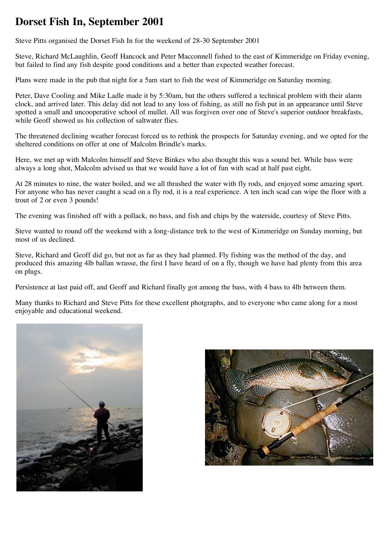## **Dorset Fish In, September 2001**

Steve Pitts organised the Dorset Fish In for the weekend of 28-30 September 2001

Steve, Richard McLaughlin, Geoff Hancock and Peter Macconnell fished to the east of Kimmeridge on Friday evening, but failed to find any fish despite good conditions and a better than expected weather forecast.

Plans were made in the pub that night for a 5am start to fish the west of Kimmeridge on Saturday morning.

Peter, Dave Cooling and Mike Ladle made it by 5:30am, but the others suffered a technical problem with their alarm clock, and arrived later. This delay did not lead to any loss of fishing, as still no fish put in an appearance until Steve spotted a small and uncooperative school of mullet. All was forgiven over one of Steve's superior outdoor breakfasts, while Geoff showed us his collection of saltwater flies.

The threatened declining weather forecast forced us to rethink the prospects for Saturday evening, and we opted for the sheltered conditions on offer at one of Malcolm Brindle's marks.

Here, we met up with Malcolm himself and Steve Binkes who also thought this was a sound bet. While bass were always a long shot, Malcolm advised us that we would have a lot of fun with scad at half past eight.

At 28 minutes to nine, the water boiled, and we all thrashed the water with fly rods, and enjoyed some amazing sport. For anyone who has never caught a scad on a fly rod, it is a real experience. A ten inch scad can wipe the floor with a trout of 2 or even 3 pounds!

The evening was finished off with a pollack, no bass, and fish and chips by the waterside, courtesy of Steve Pitts.

Steve wanted to round off the weekend with a long-distance trek to the west of Kimmeridge on Sunday morning, but most of us declined.

Steve, Richard and Geoff did go, but not as far as they had planned. Fly fishing was the method of the day, and produced this amazing 4lb ballan wrasse, the first I have heard of on a fly, though we have had plenty from this area on plugs.

Persistence at last paid off, and Geoff and Richard finally got among the bass, with 4 bass to 4lb between them.

Many thanks to Richard and Steve Pitts for these excellent photgraphs, and to everyone who came along for a most enjoyable and educational weekend.